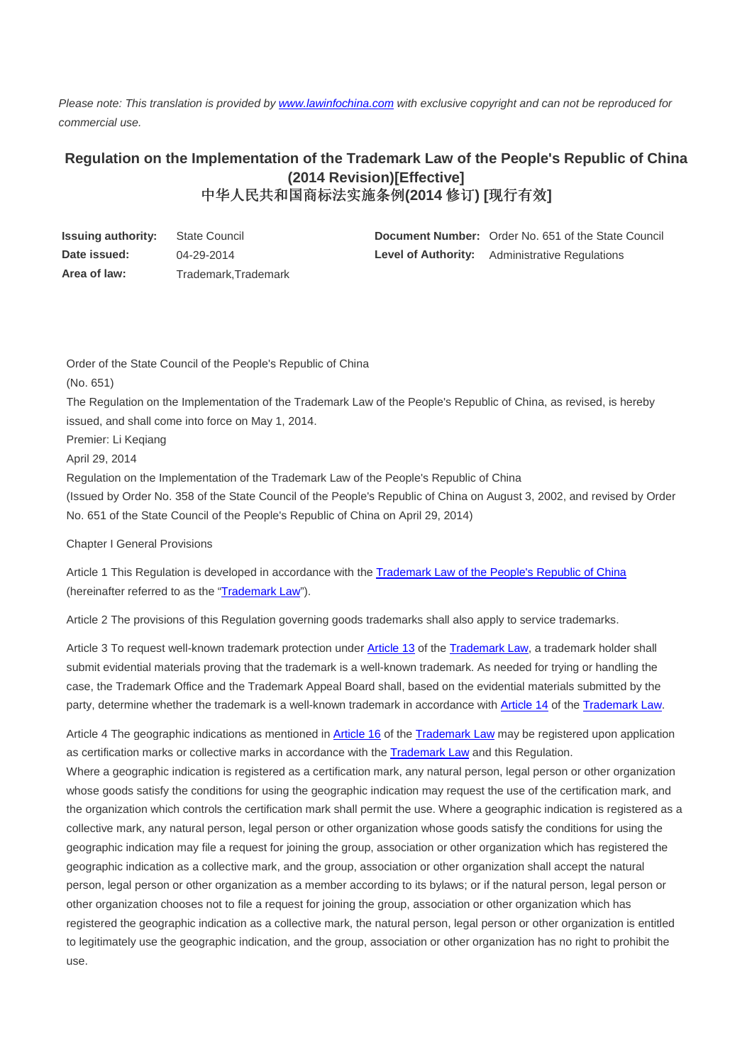Please note: This translation is provided by www.lawinfochina.com with exclusive copyright and can not be reproduced for commercial use.

## **Regulation on the Implementation of the Trademark Law of the People's Republic of China (2014 Revision)[Effective]**  中华人民共和国商标法实施条例**(2014** 修订**) [**现行有效**]**

| Issuing authority: | State Council       | <b>Document Number:</b> Order No. 651 of the State Council |
|--------------------|---------------------|------------------------------------------------------------|
| Date issued:       | 04-29-2014          | <b>Level of Authority:</b> Administrative Regulations      |
| Area of law:       | Trademark.Trademark |                                                            |

Order of the State Council of the People's Republic of China (No. 651) The Regulation on the Implementation of the Trademark Law of the People's Republic of China, as revised, is hereby issued, and shall come into force on May 1, 2014. Premier: Li Keqiang April 29, 2014 Regulation on the Implementation of the Trademark Law of the People's Republic of China (Issued by Order No. 358 of the State Council of the People's Republic of China on August 3, 2002, and revised by Order No. 651 of the State Council of the People's Republic of China on April 29, 2014)

Chapter I General Provisions

Article 1 This Regulation is developed in accordance with the **Trademark Law of the People's Republic of China** (hereinafter referred to as the "Trademark Law").

Article 2 The provisions of this Regulation governing goods trademarks shall also apply to service trademarks.

Article 3 To request well-known trademark protection under Article 13 of the Trademark Law, a trademark holder shall submit evidential materials proving that the trademark is a well-known trademark. As needed for trying or handling the case, the Trademark Office and the Trademark Appeal Board shall, based on the evidential materials submitted by the party, determine whether the trademark is a well-known trademark in accordance with Article 14 of the Trademark Law.

Article 4 The geographic indications as mentioned in Article 16 of the Trademark Law may be registered upon application as certification marks or collective marks in accordance with the Trademark Law and this Regulation. Where a geographic indication is registered as a certification mark, any natural person, legal person or other organization whose goods satisfy the conditions for using the geographic indication may request the use of the certification mark, and the organization which controls the certification mark shall permit the use. Where a geographic indication is registered as a collective mark, any natural person, legal person or other organization whose goods satisfy the conditions for using the geographic indication may file a request for joining the group, association or other organization which has registered the geographic indication as a collective mark, and the group, association or other organization shall accept the natural person, legal person or other organization as a member according to its bylaws; or if the natural person, legal person or other organization chooses not to file a request for joining the group, association or other organization which has registered the geographic indication as a collective mark, the natural person, legal person or other organization is entitled to legitimately use the geographic indication, and the group, association or other organization has no right to prohibit the use.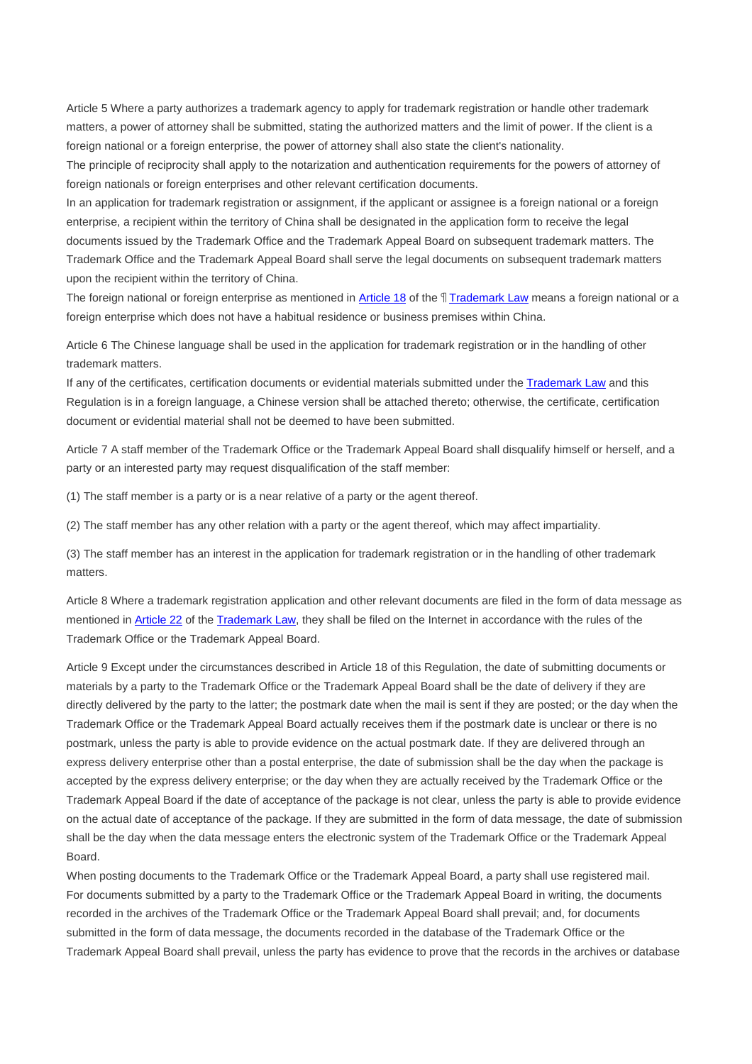Article 5 Where a party authorizes a trademark agency to apply for trademark registration or handle other trademark matters, a power of attorney shall be submitted, stating the authorized matters and the limit of power. If the client is a foreign national or a foreign enterprise, the power of attorney shall also state the client's nationality.

The principle of reciprocity shall apply to the notarization and authentication requirements for the powers of attorney of foreign nationals or foreign enterprises and other relevant certification documents.

In an application for trademark registration or assignment, if the applicant or assignee is a foreign national or a foreign enterprise, a recipient within the territory of China shall be designated in the application form to receive the legal documents issued by the Trademark Office and the Trademark Appeal Board on subsequent trademark matters. The Trademark Office and the Trademark Appeal Board shall serve the legal documents on subsequent trademark matters upon the recipient within the territory of China.

The foreign national or foreign enterprise as mentioned in Article 18 of the *Trademark Law means a foreign national or a* foreign enterprise which does not have a habitual residence or business premises within China.

Article 6 The Chinese language shall be used in the application for trademark registration or in the handling of other trademark matters.

If any of the certificates, certification documents or evidential materials submitted under the Trademark Law and this Regulation is in a foreign language, a Chinese version shall be attached thereto; otherwise, the certificate, certification document or evidential material shall not be deemed to have been submitted.

Article 7 A staff member of the Trademark Office or the Trademark Appeal Board shall disqualify himself or herself, and a party or an interested party may request disqualification of the staff member:

(1) The staff member is a party or is a near relative of a party or the agent thereof.

(2) The staff member has any other relation with a party or the agent thereof, which may affect impartiality.

(3) The staff member has an interest in the application for trademark registration or in the handling of other trademark matters.

Article 8 Where a trademark registration application and other relevant documents are filed in the form of data message as mentioned in Article 22 of the Trademark Law, they shall be filed on the Internet in accordance with the rules of the Trademark Office or the Trademark Appeal Board.

Article 9 Except under the circumstances described in Article 18 of this Regulation, the date of submitting documents or materials by a party to the Trademark Office or the Trademark Appeal Board shall be the date of delivery if they are directly delivered by the party to the latter; the postmark date when the mail is sent if they are posted; or the day when the Trademark Office or the Trademark Appeal Board actually receives them if the postmark date is unclear or there is no postmark, unless the party is able to provide evidence on the actual postmark date. If they are delivered through an express delivery enterprise other than a postal enterprise, the date of submission shall be the day when the package is accepted by the express delivery enterprise; or the day when they are actually received by the Trademark Office or the Trademark Appeal Board if the date of acceptance of the package is not clear, unless the party is able to provide evidence on the actual date of acceptance of the package. If they are submitted in the form of data message, the date of submission shall be the day when the data message enters the electronic system of the Trademark Office or the Trademark Appeal Board.

When posting documents to the Trademark Office or the Trademark Appeal Board, a party shall use registered mail. For documents submitted by a party to the Trademark Office or the Trademark Appeal Board in writing, the documents recorded in the archives of the Trademark Office or the Trademark Appeal Board shall prevail; and, for documents submitted in the form of data message, the documents recorded in the database of the Trademark Office or the Trademark Appeal Board shall prevail, unless the party has evidence to prove that the records in the archives or database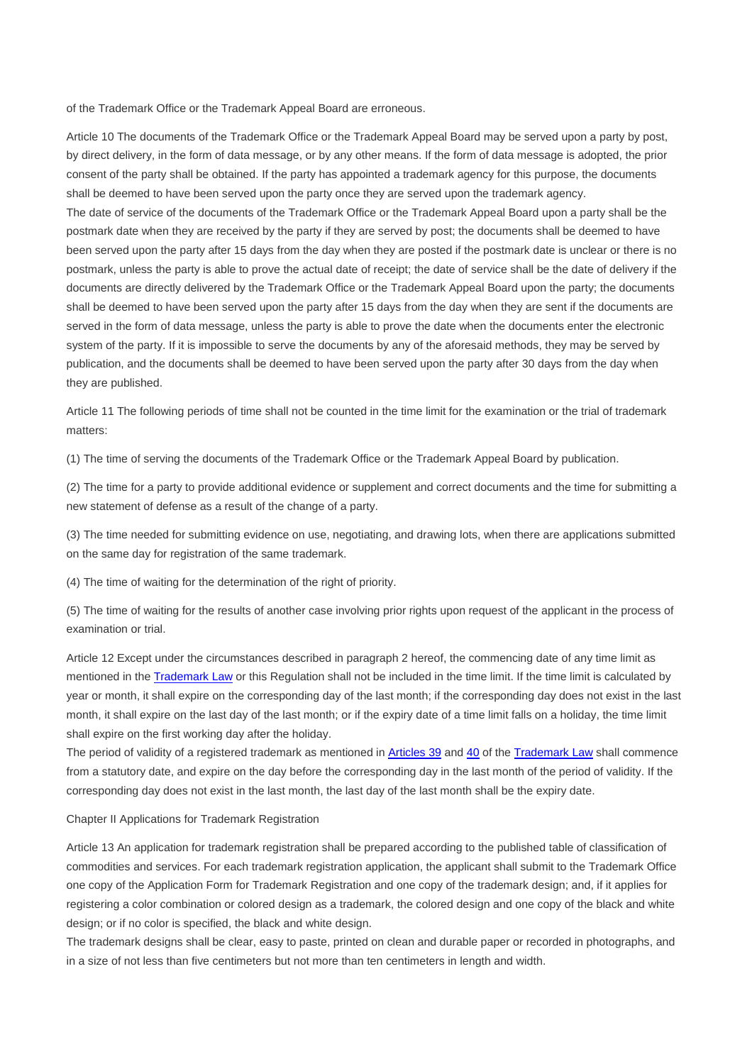of the Trademark Office or the Trademark Appeal Board are erroneous.

Article 10 The documents of the Trademark Office or the Trademark Appeal Board may be served upon a party by post, by direct delivery, in the form of data message, or by any other means. If the form of data message is adopted, the prior consent of the party shall be obtained. If the party has appointed a trademark agency for this purpose, the documents shall be deemed to have been served upon the party once they are served upon the trademark agency.

The date of service of the documents of the Trademark Office or the Trademark Appeal Board upon a party shall be the postmark date when they are received by the party if they are served by post; the documents shall be deemed to have been served upon the party after 15 days from the day when they are posted if the postmark date is unclear or there is no postmark, unless the party is able to prove the actual date of receipt; the date of service shall be the date of delivery if the documents are directly delivered by the Trademark Office or the Trademark Appeal Board upon the party; the documents shall be deemed to have been served upon the party after 15 days from the day when they are sent if the documents are served in the form of data message, unless the party is able to prove the date when the documents enter the electronic system of the party. If it is impossible to serve the documents by any of the aforesaid methods, they may be served by publication, and the documents shall be deemed to have been served upon the party after 30 days from the day when they are published.

Article 11 The following periods of time shall not be counted in the time limit for the examination or the trial of trademark matters:

(1) The time of serving the documents of the Trademark Office or the Trademark Appeal Board by publication.

(2) The time for a party to provide additional evidence or supplement and correct documents and the time for submitting a new statement of defense as a result of the change of a party.

(3) The time needed for submitting evidence on use, negotiating, and drawing lots, when there are applications submitted on the same day for registration of the same trademark.

(4) The time of waiting for the determination of the right of priority.

(5) The time of waiting for the results of another case involving prior rights upon request of the applicant in the process of examination or trial.

Article 12 Except under the circumstances described in paragraph 2 hereof, the commencing date of any time limit as mentioned in the Trademark Law or this Regulation shall not be included in the time limit. If the time limit is calculated by year or month, it shall expire on the corresponding day of the last month; if the corresponding day does not exist in the last month, it shall expire on the last day of the last month; or if the expiry date of a time limit falls on a holiday, the time limit shall expire on the first working day after the holiday.

The period of validity of a registered trademark as mentioned in Articles 39 and 40 of the Trademark Law shall commence from a statutory date, and expire on the day before the corresponding day in the last month of the period of validity. If the corresponding day does not exist in the last month, the last day of the last month shall be the expiry date.

Chapter II Applications for Trademark Registration

Article 13 An application for trademark registration shall be prepared according to the published table of classification of commodities and services. For each trademark registration application, the applicant shall submit to the Trademark Office one copy of the Application Form for Trademark Registration and one copy of the trademark design; and, if it applies for registering a color combination or colored design as a trademark, the colored design and one copy of the black and white design; or if no color is specified, the black and white design.

The trademark designs shall be clear, easy to paste, printed on clean and durable paper or recorded in photographs, and in a size of not less than five centimeters but not more than ten centimeters in length and width.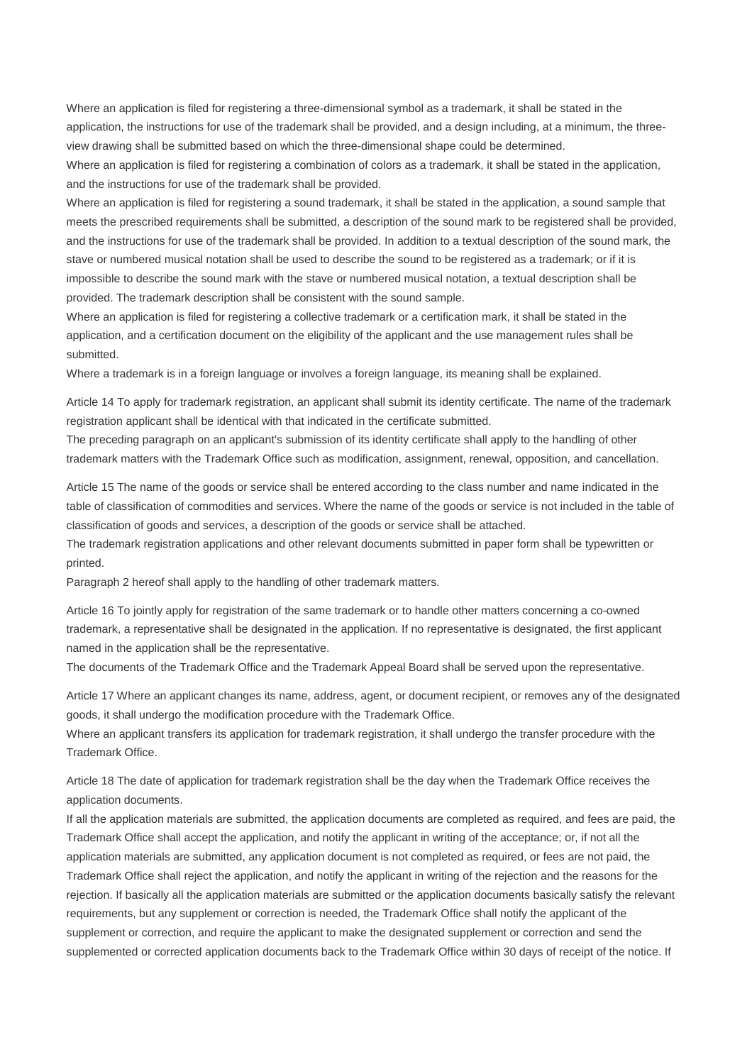Where an application is filed for registering a three-dimensional symbol as a trademark, it shall be stated in the application, the instructions for use of the trademark shall be provided, and a design including, at a minimum, the threeview drawing shall be submitted based on which the three-dimensional shape could be determined.

Where an application is filed for registering a combination of colors as a trademark, it shall be stated in the application, and the instructions for use of the trademark shall be provided.

Where an application is filed for registering a sound trademark, it shall be stated in the application, a sound sample that meets the prescribed requirements shall be submitted, a description of the sound mark to be registered shall be provided, and the instructions for use of the trademark shall be provided. In addition to a textual description of the sound mark, the stave or numbered musical notation shall be used to describe the sound to be registered as a trademark; or if it is impossible to describe the sound mark with the stave or numbered musical notation, a textual description shall be provided. The trademark description shall be consistent with the sound sample.

Where an application is filed for registering a collective trademark or a certification mark, it shall be stated in the application, and a certification document on the eligibility of the applicant and the use management rules shall be submitted.

Where a trademark is in a foreign language or involves a foreign language, its meaning shall be explained.

Article 14 To apply for trademark registration, an applicant shall submit its identity certificate. The name of the trademark registration applicant shall be identical with that indicated in the certificate submitted.

The preceding paragraph on an applicant's submission of its identity certificate shall apply to the handling of other trademark matters with the Trademark Office such as modification, assignment, renewal, opposition, and cancellation.

Article 15 The name of the goods or service shall be entered according to the class number and name indicated in the table of classification of commodities and services. Where the name of the goods or service is not included in the table of classification of goods and services, a description of the goods or service shall be attached.

The trademark registration applications and other relevant documents submitted in paper form shall be typewritten or printed.

Paragraph 2 hereof shall apply to the handling of other trademark matters.

Article 16 To jointly apply for registration of the same trademark or to handle other matters concerning a co-owned trademark, a representative shall be designated in the application. If no representative is designated, the first applicant named in the application shall be the representative.

The documents of the Trademark Office and the Trademark Appeal Board shall be served upon the representative.

Article 17 Where an applicant changes its name, address, agent, or document recipient, or removes any of the designated goods, it shall undergo the modification procedure with the Trademark Office.

Where an applicant transfers its application for trademark registration, it shall undergo the transfer procedure with the Trademark Office.

Article 18 The date of application for trademark registration shall be the day when the Trademark Office receives the application documents.

If all the application materials are submitted, the application documents are completed as required, and fees are paid, the Trademark Office shall accept the application, and notify the applicant in writing of the acceptance; or, if not all the application materials are submitted, any application document is not completed as required, or fees are not paid, the Trademark Office shall reject the application, and notify the applicant in writing of the rejection and the reasons for the rejection. If basically all the application materials are submitted or the application documents basically satisfy the relevant requirements, but any supplement or correction is needed, the Trademark Office shall notify the applicant of the supplement or correction, and require the applicant to make the designated supplement or correction and send the supplemented or corrected application documents back to the Trademark Office within 30 days of receipt of the notice. If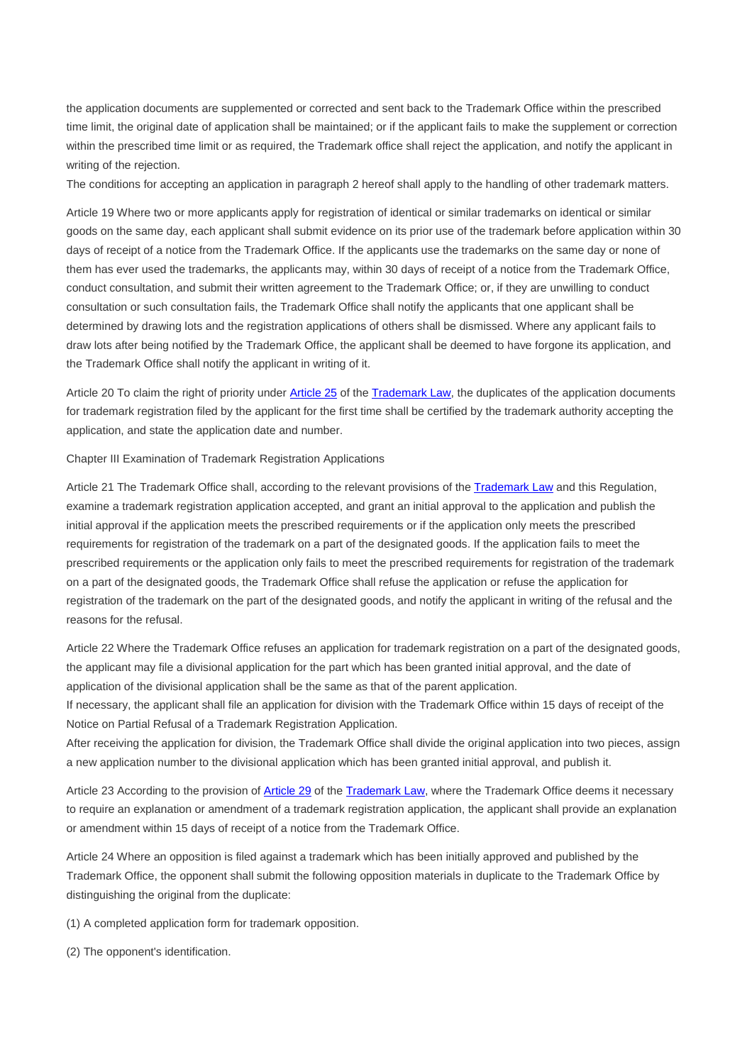the application documents are supplemented or corrected and sent back to the Trademark Office within the prescribed time limit, the original date of application shall be maintained; or if the applicant fails to make the supplement or correction within the prescribed time limit or as required, the Trademark office shall reject the application, and notify the applicant in writing of the rejection.

The conditions for accepting an application in paragraph 2 hereof shall apply to the handling of other trademark matters.

Article 19 Where two or more applicants apply for registration of identical or similar trademarks on identical or similar goods on the same day, each applicant shall submit evidence on its prior use of the trademark before application within 30 days of receipt of a notice from the Trademark Office. If the applicants use the trademarks on the same day or none of them has ever used the trademarks, the applicants may, within 30 days of receipt of a notice from the Trademark Office, conduct consultation, and submit their written agreement to the Trademark Office; or, if they are unwilling to conduct consultation or such consultation fails, the Trademark Office shall notify the applicants that one applicant shall be determined by drawing lots and the registration applications of others shall be dismissed. Where any applicant fails to draw lots after being notified by the Trademark Office, the applicant shall be deemed to have forgone its application, and the Trademark Office shall notify the applicant in writing of it.

Article 20 To claim the right of priority under Article 25 of the Trademark Law, the duplicates of the application documents for trademark registration filed by the applicant for the first time shall be certified by the trademark authority accepting the application, and state the application date and number.

Chapter III Examination of Trademark Registration Applications

Article 21 The Trademark Office shall, according to the relevant provisions of the Trademark Law and this Regulation, examine a trademark registration application accepted, and grant an initial approval to the application and publish the initial approval if the application meets the prescribed requirements or if the application only meets the prescribed requirements for registration of the trademark on a part of the designated goods. If the application fails to meet the prescribed requirements or the application only fails to meet the prescribed requirements for registration of the trademark on a part of the designated goods, the Trademark Office shall refuse the application or refuse the application for registration of the trademark on the part of the designated goods, and notify the applicant in writing of the refusal and the reasons for the refusal.

Article 22 Where the Trademark Office refuses an application for trademark registration on a part of the designated goods, the applicant may file a divisional application for the part which has been granted initial approval, and the date of application of the divisional application shall be the same as that of the parent application.

If necessary, the applicant shall file an application for division with the Trademark Office within 15 days of receipt of the Notice on Partial Refusal of a Trademark Registration Application.

After receiving the application for division, the Trademark Office shall divide the original application into two pieces, assign a new application number to the divisional application which has been granted initial approval, and publish it.

Article 23 According to the provision of Article 29 of the Trademark Law, where the Trademark Office deems it necessary to require an explanation or amendment of a trademark registration application, the applicant shall provide an explanation or amendment within 15 days of receipt of a notice from the Trademark Office.

Article 24 Where an opposition is filed against a trademark which has been initially approved and published by the Trademark Office, the opponent shall submit the following opposition materials in duplicate to the Trademark Office by distinguishing the original from the duplicate:

(1) A completed application form for trademark opposition.

(2) The opponent's identification.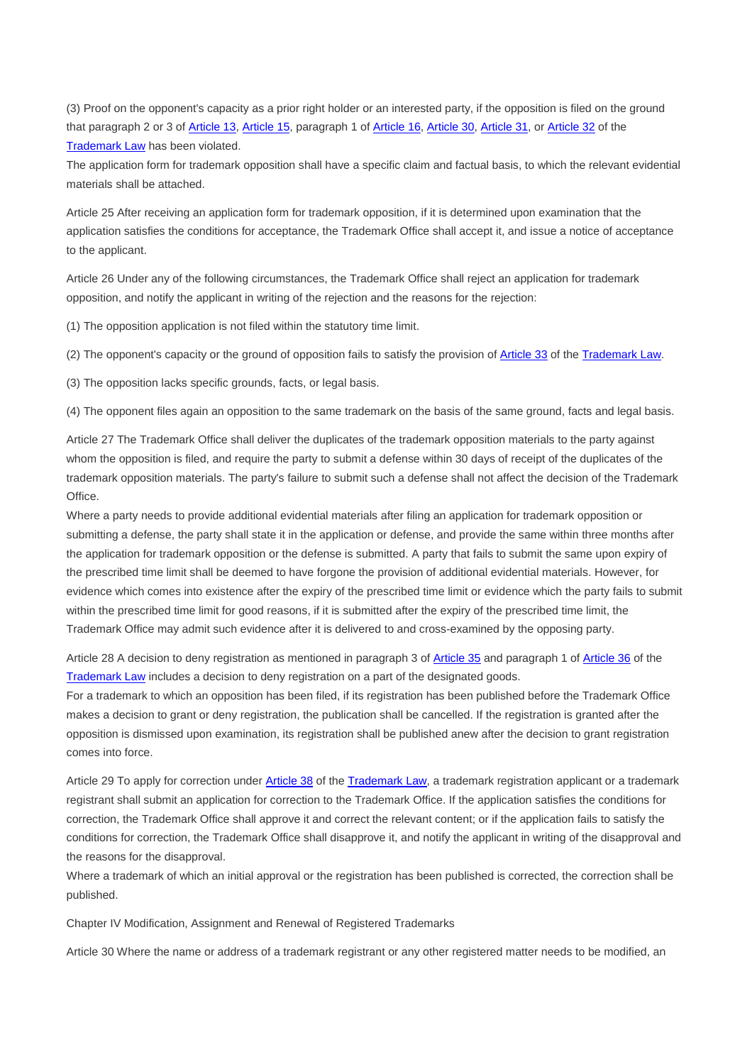(3) Proof on the opponent's capacity as a prior right holder or an interested party, if the opposition is filed on the ground that paragraph 2 or 3 of Article 13, Article 15, paragraph 1 of Article 16, Article 30, Article 31, or Article 32 of the Trademark Law has been violated.

The application form for trademark opposition shall have a specific claim and factual basis, to which the relevant evidential materials shall be attached.

Article 25 After receiving an application form for trademark opposition, if it is determined upon examination that the application satisfies the conditions for acceptance, the Trademark Office shall accept it, and issue a notice of acceptance to the applicant.

Article 26 Under any of the following circumstances, the Trademark Office shall reject an application for trademark opposition, and notify the applicant in writing of the rejection and the reasons for the rejection:

(1) The opposition application is not filed within the statutory time limit.

(2) The opponent's capacity or the ground of opposition fails to satisfy the provision of Article 33 of the Trademark Law.

(3) The opposition lacks specific grounds, facts, or legal basis.

(4) The opponent files again an opposition to the same trademark on the basis of the same ground, facts and legal basis.

Article 27 The Trademark Office shall deliver the duplicates of the trademark opposition materials to the party against whom the opposition is filed, and require the party to submit a defense within 30 days of receipt of the duplicates of the trademark opposition materials. The party's failure to submit such a defense shall not affect the decision of the Trademark Office.

Where a party needs to provide additional evidential materials after filing an application for trademark opposition or submitting a defense, the party shall state it in the application or defense, and provide the same within three months after the application for trademark opposition or the defense is submitted. A party that fails to submit the same upon expiry of the prescribed time limit shall be deemed to have forgone the provision of additional evidential materials. However, for evidence which comes into existence after the expiry of the prescribed time limit or evidence which the party fails to submit within the prescribed time limit for good reasons, if it is submitted after the expiry of the prescribed time limit, the Trademark Office may admit such evidence after it is delivered to and cross-examined by the opposing party.

Article 28 A decision to deny registration as mentioned in paragraph 3 of Article 35 and paragraph 1 of Article 36 of the Trademark Law includes a decision to deny registration on a part of the designated goods.

For a trademark to which an opposition has been filed, if its registration has been published before the Trademark Office makes a decision to grant or deny registration, the publication shall be cancelled. If the registration is granted after the opposition is dismissed upon examination, its registration shall be published anew after the decision to grant registration comes into force.

Article 29 To apply for correction under Article 38 of the Trademark Law, a trademark registration applicant or a trademark registrant shall submit an application for correction to the Trademark Office. If the application satisfies the conditions for correction, the Trademark Office shall approve it and correct the relevant content; or if the application fails to satisfy the conditions for correction, the Trademark Office shall disapprove it, and notify the applicant in writing of the disapproval and the reasons for the disapproval.

Where a trademark of which an initial approval or the registration has been published is corrected, the correction shall be published.

Chapter IV Modification, Assignment and Renewal of Registered Trademarks

Article 30 Where the name or address of a trademark registrant or any other registered matter needs to be modified, an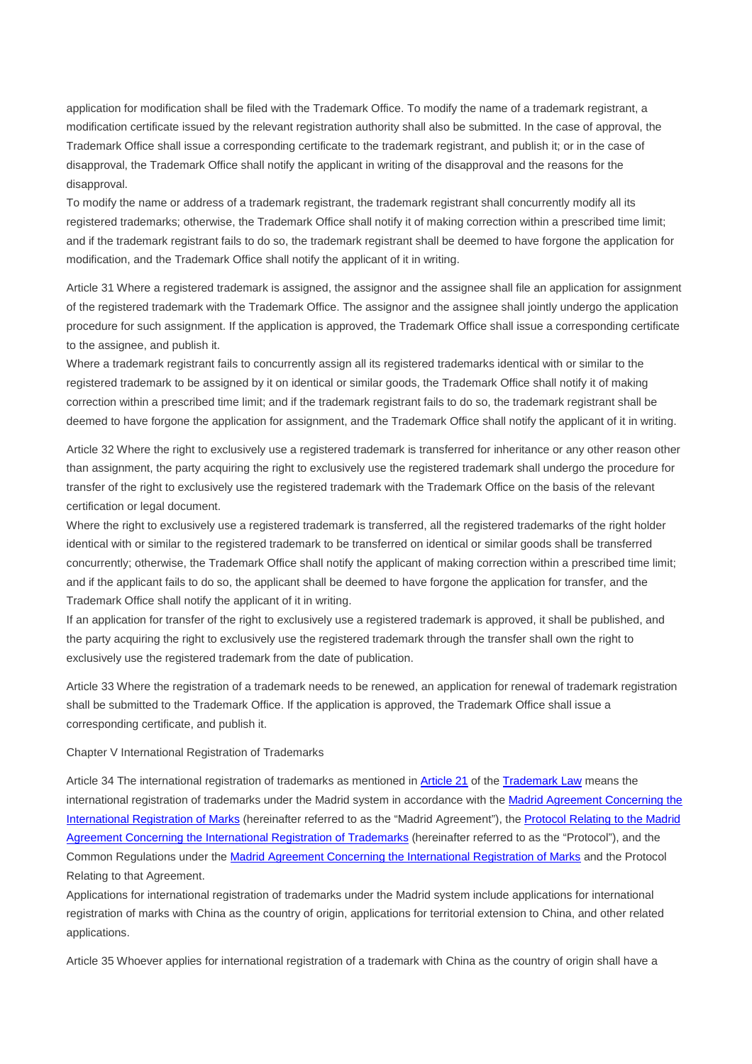application for modification shall be filed with the Trademark Office. To modify the name of a trademark registrant, a modification certificate issued by the relevant registration authority shall also be submitted. In the case of approval, the Trademark Office shall issue a corresponding certificate to the trademark registrant, and publish it; or in the case of disapproval, the Trademark Office shall notify the applicant in writing of the disapproval and the reasons for the disapproval.

To modify the name or address of a trademark registrant, the trademark registrant shall concurrently modify all its registered trademarks; otherwise, the Trademark Office shall notify it of making correction within a prescribed time limit; and if the trademark registrant fails to do so, the trademark registrant shall be deemed to have forgone the application for modification, and the Trademark Office shall notify the applicant of it in writing.

Article 31 Where a registered trademark is assigned, the assignor and the assignee shall file an application for assignment of the registered trademark with the Trademark Office. The assignor and the assignee shall jointly undergo the application procedure for such assignment. If the application is approved, the Trademark Office shall issue a corresponding certificate to the assignee, and publish it.

Where a trademark registrant fails to concurrently assign all its registered trademarks identical with or similar to the registered trademark to be assigned by it on identical or similar goods, the Trademark Office shall notify it of making correction within a prescribed time limit; and if the trademark registrant fails to do so, the trademark registrant shall be deemed to have forgone the application for assignment, and the Trademark Office shall notify the applicant of it in writing.

Article 32 Where the right to exclusively use a registered trademark is transferred for inheritance or any other reason other than assignment, the party acquiring the right to exclusively use the registered trademark shall undergo the procedure for transfer of the right to exclusively use the registered trademark with the Trademark Office on the basis of the relevant certification or legal document.

Where the right to exclusively use a registered trademark is transferred, all the registered trademarks of the right holder identical with or similar to the registered trademark to be transferred on identical or similar goods shall be transferred concurrently; otherwise, the Trademark Office shall notify the applicant of making correction within a prescribed time limit; and if the applicant fails to do so, the applicant shall be deemed to have forgone the application for transfer, and the Trademark Office shall notify the applicant of it in writing.

If an application for transfer of the right to exclusively use a registered trademark is approved, it shall be published, and the party acquiring the right to exclusively use the registered trademark through the transfer shall own the right to exclusively use the registered trademark from the date of publication.

Article 33 Where the registration of a trademark needs to be renewed, an application for renewal of trademark registration shall be submitted to the Trademark Office. If the application is approved, the Trademark Office shall issue a corresponding certificate, and publish it.

## Chapter V International Registration of Trademarks

Article 34 The international registration of trademarks as mentioned in **Article 21** of the **Trademark Law** means the international registration of trademarks under the Madrid system in accordance with the Madrid Agreement Concerning the International Registration of Marks (hereinafter referred to as the "Madrid Agreement"), the Protocol Relating to the Madrid Agreement Concerning the International Registration of Trademarks (hereinafter referred to as the "Protocol"), and the Common Regulations under the Madrid Agreement Concerning the International Registration of Marks and the Protocol Relating to that Agreement.

Applications for international registration of trademarks under the Madrid system include applications for international registration of marks with China as the country of origin, applications for territorial extension to China, and other related applications.

Article 35 Whoever applies for international registration of a trademark with China as the country of origin shall have a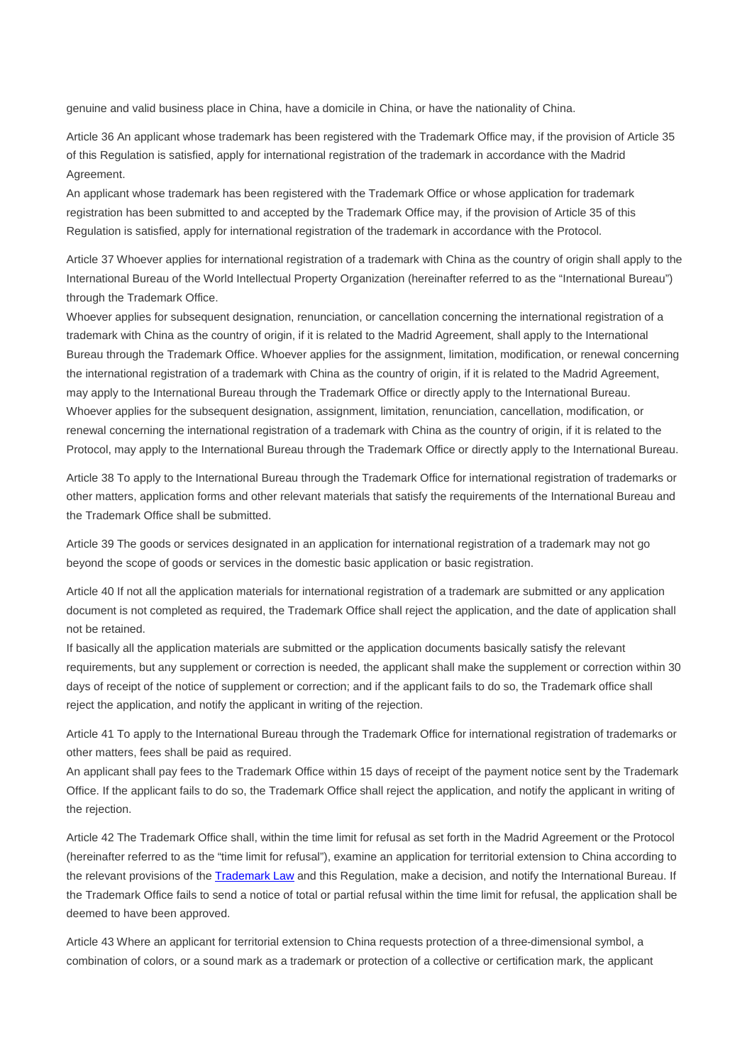genuine and valid business place in China, have a domicile in China, or have the nationality of China.

Article 36 An applicant whose trademark has been registered with the Trademark Office may, if the provision of Article 35 of this Regulation is satisfied, apply for international registration of the trademark in accordance with the Madrid Agreement.

An applicant whose trademark has been registered with the Trademark Office or whose application for trademark registration has been submitted to and accepted by the Trademark Office may, if the provision of Article 35 of this Regulation is satisfied, apply for international registration of the trademark in accordance with the Protocol.

Article 37 Whoever applies for international registration of a trademark with China as the country of origin shall apply to the International Bureau of the World Intellectual Property Organization (hereinafter referred to as the "International Bureau") through the Trademark Office.

Whoever applies for subsequent designation, renunciation, or cancellation concerning the international registration of a trademark with China as the country of origin, if it is related to the Madrid Agreement, shall apply to the International Bureau through the Trademark Office. Whoever applies for the assignment, limitation, modification, or renewal concerning the international registration of a trademark with China as the country of origin, if it is related to the Madrid Agreement, may apply to the International Bureau through the Trademark Office or directly apply to the International Bureau. Whoever applies for the subsequent designation, assignment, limitation, renunciation, cancellation, modification, or renewal concerning the international registration of a trademark with China as the country of origin, if it is related to the Protocol, may apply to the International Bureau through the Trademark Office or directly apply to the International Bureau.

Article 38 To apply to the International Bureau through the Trademark Office for international registration of trademarks or other matters, application forms and other relevant materials that satisfy the requirements of the International Bureau and the Trademark Office shall be submitted.

Article 39 The goods or services designated in an application for international registration of a trademark may not go beyond the scope of goods or services in the domestic basic application or basic registration.

Article 40 If not all the application materials for international registration of a trademark are submitted or any application document is not completed as required, the Trademark Office shall reject the application, and the date of application shall not be retained.

If basically all the application materials are submitted or the application documents basically satisfy the relevant requirements, but any supplement or correction is needed, the applicant shall make the supplement or correction within 30 days of receipt of the notice of supplement or correction; and if the applicant fails to do so, the Trademark office shall reject the application, and notify the applicant in writing of the rejection.

Article 41 To apply to the International Bureau through the Trademark Office for international registration of trademarks or other matters, fees shall be paid as required.

An applicant shall pay fees to the Trademark Office within 15 days of receipt of the payment notice sent by the Trademark Office. If the applicant fails to do so, the Trademark Office shall reject the application, and notify the applicant in writing of the rejection.

Article 42 The Trademark Office shall, within the time limit for refusal as set forth in the Madrid Agreement or the Protocol (hereinafter referred to as the "time limit for refusal"), examine an application for territorial extension to China according to the relevant provisions of the Trademark Law and this Regulation, make a decision, and notify the International Bureau. If the Trademark Office fails to send a notice of total or partial refusal within the time limit for refusal, the application shall be deemed to have been approved.

Article 43 Where an applicant for territorial extension to China requests protection of a three-dimensional symbol, a combination of colors, or a sound mark as a trademark or protection of a collective or certification mark, the applicant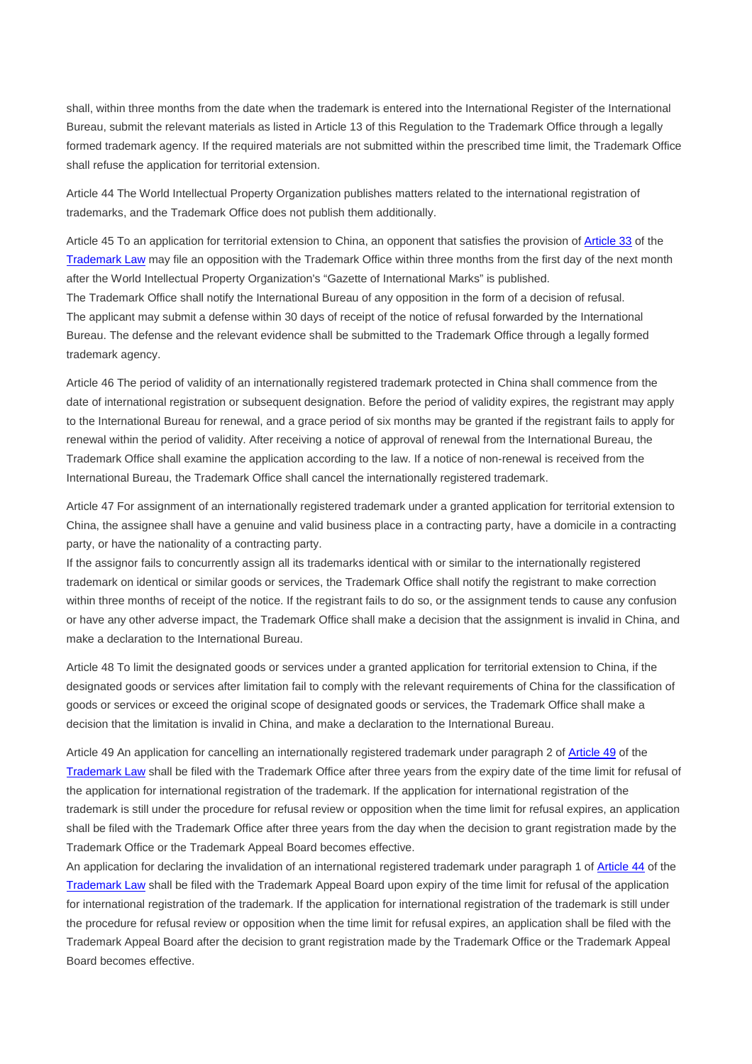shall, within three months from the date when the trademark is entered into the International Register of the International Bureau, submit the relevant materials as listed in Article 13 of this Regulation to the Trademark Office through a legally formed trademark agency. If the required materials are not submitted within the prescribed time limit, the Trademark Office shall refuse the application for territorial extension.

Article 44 The World Intellectual Property Organization publishes matters related to the international registration of trademarks, and the Trademark Office does not publish them additionally.

Article 45 To an application for territorial extension to China, an opponent that satisfies the provision of Article 33 of the Trademark Law may file an opposition with the Trademark Office within three months from the first day of the next month after the World Intellectual Property Organization's "Gazette of International Marks" is published. The Trademark Office shall notify the International Bureau of any opposition in the form of a decision of refusal.

The applicant may submit a defense within 30 days of receipt of the notice of refusal forwarded by the International Bureau. The defense and the relevant evidence shall be submitted to the Trademark Office through a legally formed trademark agency.

Article 46 The period of validity of an internationally registered trademark protected in China shall commence from the date of international registration or subsequent designation. Before the period of validity expires, the registrant may apply to the International Bureau for renewal, and a grace period of six months may be granted if the registrant fails to apply for renewal within the period of validity. After receiving a notice of approval of renewal from the International Bureau, the Trademark Office shall examine the application according to the law. If a notice of non-renewal is received from the International Bureau, the Trademark Office shall cancel the internationally registered trademark.

Article 47 For assignment of an internationally registered trademark under a granted application for territorial extension to China, the assignee shall have a genuine and valid business place in a contracting party, have a domicile in a contracting party, or have the nationality of a contracting party.

If the assignor fails to concurrently assign all its trademarks identical with or similar to the internationally registered trademark on identical or similar goods or services, the Trademark Office shall notify the registrant to make correction within three months of receipt of the notice. If the registrant fails to do so, or the assignment tends to cause any confusion or have any other adverse impact, the Trademark Office shall make a decision that the assignment is invalid in China, and make a declaration to the International Bureau.

Article 48 To limit the designated goods or services under a granted application for territorial extension to China, if the designated goods or services after limitation fail to comply with the relevant requirements of China for the classification of goods or services or exceed the original scope of designated goods or services, the Trademark Office shall make a decision that the limitation is invalid in China, and make a declaration to the International Bureau.

Article 49 An application for cancelling an internationally registered trademark under paragraph 2 of Article 49 of the Trademark Law shall be filed with the Trademark Office after three years from the expiry date of the time limit for refusal of the application for international registration of the trademark. If the application for international registration of the trademark is still under the procedure for refusal review or opposition when the time limit for refusal expires, an application shall be filed with the Trademark Office after three years from the day when the decision to grant registration made by the Trademark Office or the Trademark Appeal Board becomes effective.

An application for declaring the invalidation of an international registered trademark under paragraph 1 of Article 44 of the Trademark Law shall be filed with the Trademark Appeal Board upon expiry of the time limit for refusal of the application for international registration of the trademark. If the application for international registration of the trademark is still under the procedure for refusal review or opposition when the time limit for refusal expires, an application shall be filed with the Trademark Appeal Board after the decision to grant registration made by the Trademark Office or the Trademark Appeal Board becomes effective.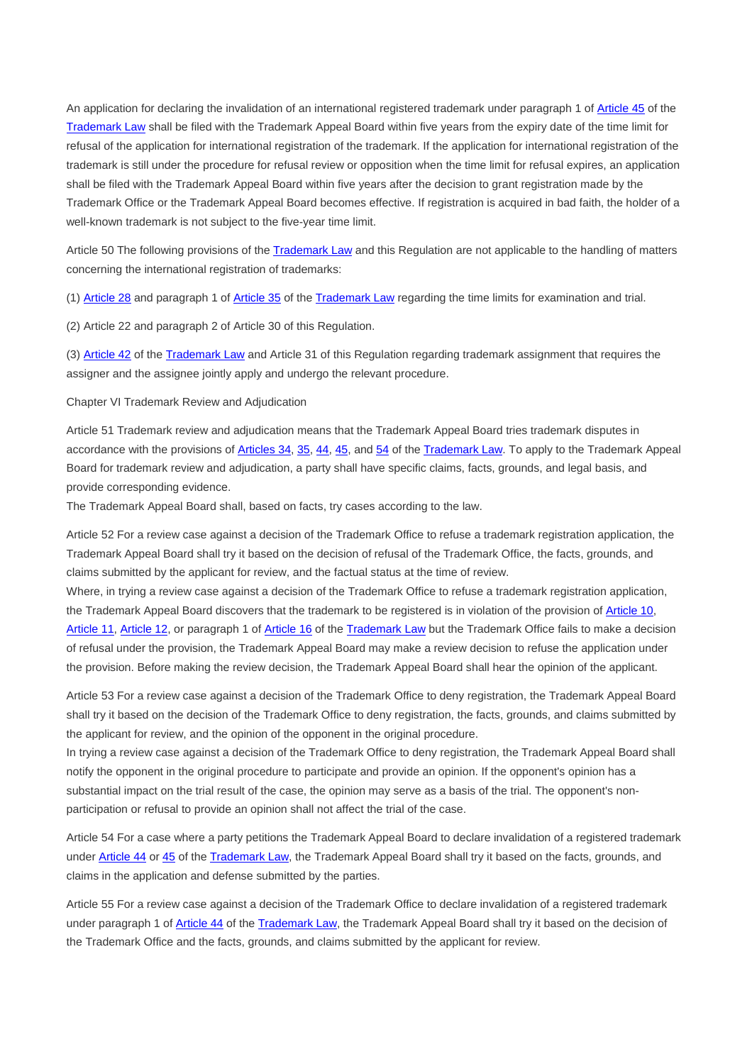An application for declaring the invalidation of an international registered trademark under paragraph 1 of Article 45 of the Trademark Law shall be filed with the Trademark Appeal Board within five years from the expiry date of the time limit for refusal of the application for international registration of the trademark. If the application for international registration of the trademark is still under the procedure for refusal review or opposition when the time limit for refusal expires, an application shall be filed with the Trademark Appeal Board within five years after the decision to grant registration made by the Trademark Office or the Trademark Appeal Board becomes effective. If registration is acquired in bad faith, the holder of a well-known trademark is not subject to the five-year time limit.

Article 50 The following provisions of the Trademark Law and this Regulation are not applicable to the handling of matters concerning the international registration of trademarks:

(1) Article 28 and paragraph 1 of Article 35 of the Trademark Law regarding the time limits for examination and trial.

(2) Article 22 and paragraph 2 of Article 30 of this Regulation.

(3) Article 42 of the Trademark Law and Article 31 of this Regulation regarding trademark assignment that requires the assigner and the assignee jointly apply and undergo the relevant procedure.

Chapter VI Trademark Review and Adjudication

Article 51 Trademark review and adjudication means that the Trademark Appeal Board tries trademark disputes in accordance with the provisions of Articles 34, 35, 44, 45, and 54 of the Trademark Law. To apply to the Trademark Appeal Board for trademark review and adjudication, a party shall have specific claims, facts, grounds, and legal basis, and provide corresponding evidence.

The Trademark Appeal Board shall, based on facts, try cases according to the law.

Article 52 For a review case against a decision of the Trademark Office to refuse a trademark registration application, the Trademark Appeal Board shall try it based on the decision of refusal of the Trademark Office, the facts, grounds, and claims submitted by the applicant for review, and the factual status at the time of review.

Where, in trying a review case against a decision of the Trademark Office to refuse a trademark registration application, the Trademark Appeal Board discovers that the trademark to be registered is in violation of the provision of Article 10, Article 11, Article 12, or paragraph 1 of Article 16 of the Trademark Law but the Trademark Office fails to make a decision of refusal under the provision, the Trademark Appeal Board may make a review decision to refuse the application under the provision. Before making the review decision, the Trademark Appeal Board shall hear the opinion of the applicant.

Article 53 For a review case against a decision of the Trademark Office to deny registration, the Trademark Appeal Board shall try it based on the decision of the Trademark Office to deny registration, the facts, grounds, and claims submitted by the applicant for review, and the opinion of the opponent in the original procedure.

In trying a review case against a decision of the Trademark Office to deny registration, the Trademark Appeal Board shall notify the opponent in the original procedure to participate and provide an opinion. If the opponent's opinion has a substantial impact on the trial result of the case, the opinion may serve as a basis of the trial. The opponent's nonparticipation or refusal to provide an opinion shall not affect the trial of the case.

Article 54 For a case where a party petitions the Trademark Appeal Board to declare invalidation of a registered trademark under Article 44 or 45 of the Trademark Law, the Trademark Appeal Board shall try it based on the facts, grounds, and claims in the application and defense submitted by the parties.

Article 55 For a review case against a decision of the Trademark Office to declare invalidation of a registered trademark under paragraph 1 of Article 44 of the Trademark Law, the Trademark Appeal Board shall try it based on the decision of the Trademark Office and the facts, grounds, and claims submitted by the applicant for review.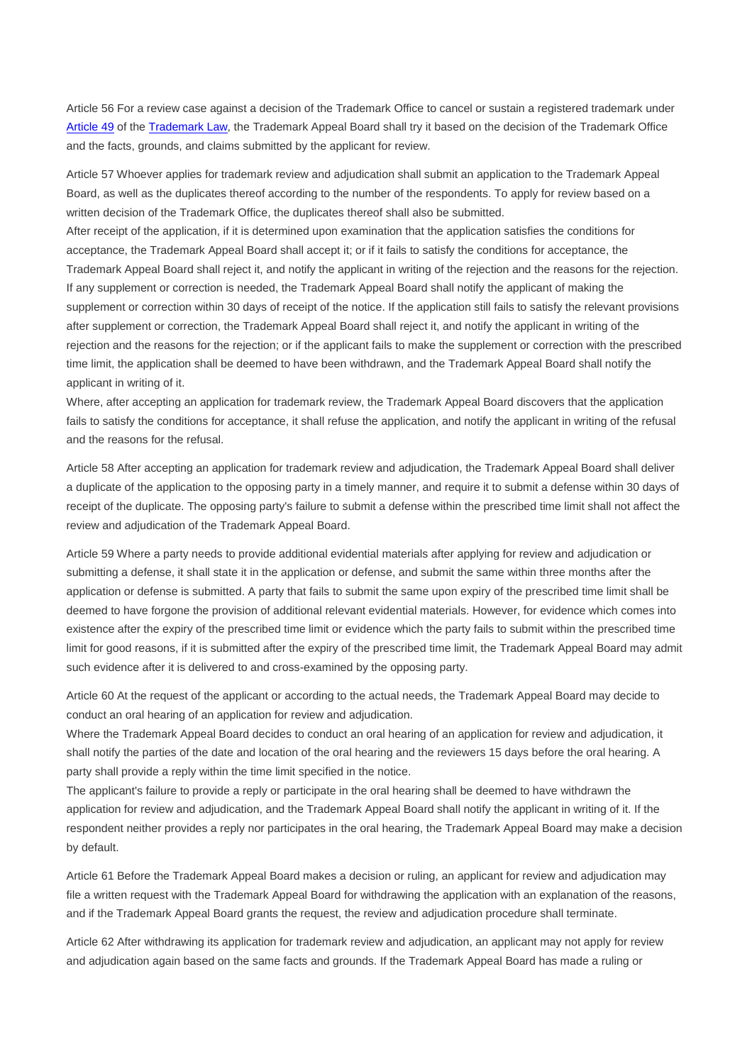Article 56 For a review case against a decision of the Trademark Office to cancel or sustain a registered trademark under Article 49 of the Trademark Law, the Trademark Appeal Board shall try it based on the decision of the Trademark Office and the facts, grounds, and claims submitted by the applicant for review.

Article 57 Whoever applies for trademark review and adjudication shall submit an application to the Trademark Appeal Board, as well as the duplicates thereof according to the number of the respondents. To apply for review based on a written decision of the Trademark Office, the duplicates thereof shall also be submitted.

After receipt of the application, if it is determined upon examination that the application satisfies the conditions for acceptance, the Trademark Appeal Board shall accept it; or if it fails to satisfy the conditions for acceptance, the Trademark Appeal Board shall reject it, and notify the applicant in writing of the rejection and the reasons for the rejection. If any supplement or correction is needed, the Trademark Appeal Board shall notify the applicant of making the supplement or correction within 30 days of receipt of the notice. If the application still fails to satisfy the relevant provisions after supplement or correction, the Trademark Appeal Board shall reject it, and notify the applicant in writing of the rejection and the reasons for the rejection; or if the applicant fails to make the supplement or correction with the prescribed time limit, the application shall be deemed to have been withdrawn, and the Trademark Appeal Board shall notify the applicant in writing of it.

Where, after accepting an application for trademark review, the Trademark Appeal Board discovers that the application fails to satisfy the conditions for acceptance, it shall refuse the application, and notify the applicant in writing of the refusal and the reasons for the refusal.

Article 58 After accepting an application for trademark review and adjudication, the Trademark Appeal Board shall deliver a duplicate of the application to the opposing party in a timely manner, and require it to submit a defense within 30 days of receipt of the duplicate. The opposing party's failure to submit a defense within the prescribed time limit shall not affect the review and adjudication of the Trademark Appeal Board.

Article 59 Where a party needs to provide additional evidential materials after applying for review and adjudication or submitting a defense, it shall state it in the application or defense, and submit the same within three months after the application or defense is submitted. A party that fails to submit the same upon expiry of the prescribed time limit shall be deemed to have forgone the provision of additional relevant evidential materials. However, for evidence which comes into existence after the expiry of the prescribed time limit or evidence which the party fails to submit within the prescribed time limit for good reasons, if it is submitted after the expiry of the prescribed time limit, the Trademark Appeal Board may admit such evidence after it is delivered to and cross-examined by the opposing party.

Article 60 At the request of the applicant or according to the actual needs, the Trademark Appeal Board may decide to conduct an oral hearing of an application for review and adjudication.

Where the Trademark Appeal Board decides to conduct an oral hearing of an application for review and adjudication, it shall notify the parties of the date and location of the oral hearing and the reviewers 15 days before the oral hearing. A party shall provide a reply within the time limit specified in the notice.

The applicant's failure to provide a reply or participate in the oral hearing shall be deemed to have withdrawn the application for review and adjudication, and the Trademark Appeal Board shall notify the applicant in writing of it. If the respondent neither provides a reply nor participates in the oral hearing, the Trademark Appeal Board may make a decision by default.

Article 61 Before the Trademark Appeal Board makes a decision or ruling, an applicant for review and adjudication may file a written request with the Trademark Appeal Board for withdrawing the application with an explanation of the reasons, and if the Trademark Appeal Board grants the request, the review and adjudication procedure shall terminate.

Article 62 After withdrawing its application for trademark review and adjudication, an applicant may not apply for review and adjudication again based on the same facts and grounds. If the Trademark Appeal Board has made a ruling or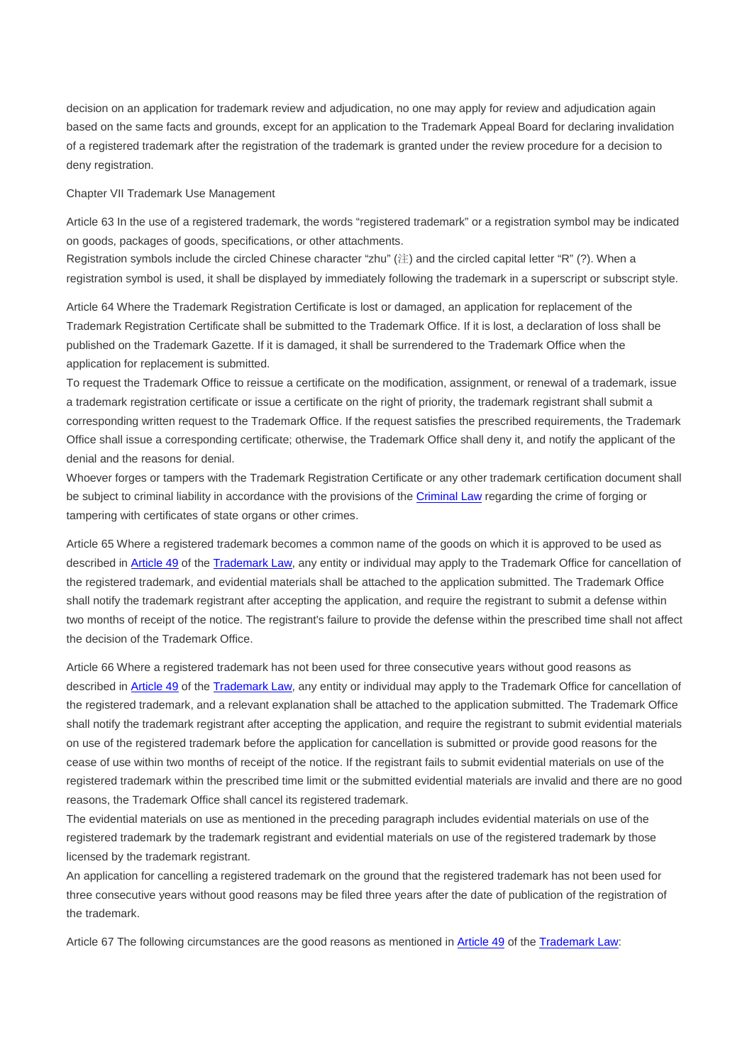decision on an application for trademark review and adjudication, no one may apply for review and adjudication again based on the same facts and grounds, except for an application to the Trademark Appeal Board for declaring invalidation of a registered trademark after the registration of the trademark is granted under the review procedure for a decision to deny registration.

Chapter VII Trademark Use Management

Article 63 In the use of a registered trademark, the words "registered trademark" or a registration symbol may be indicated on goods, packages of goods, specifications, or other attachments.

Registration symbols include the circled Chinese character "zhu" (注) and the circled capital letter "R" (?). When a registration symbol is used, it shall be displayed by immediately following the trademark in a superscript or subscript style.

Article 64 Where the Trademark Registration Certificate is lost or damaged, an application for replacement of the Trademark Registration Certificate shall be submitted to the Trademark Office. If it is lost, a declaration of loss shall be published on the Trademark Gazette. If it is damaged, it shall be surrendered to the Trademark Office when the application for replacement is submitted.

To request the Trademark Office to reissue a certificate on the modification, assignment, or renewal of a trademark, issue a trademark registration certificate or issue a certificate on the right of priority, the trademark registrant shall submit a corresponding written request to the Trademark Office. If the request satisfies the prescribed requirements, the Trademark Office shall issue a corresponding certificate; otherwise, the Trademark Office shall deny it, and notify the applicant of the denial and the reasons for denial.

Whoever forges or tampers with the Trademark Registration Certificate or any other trademark certification document shall be subject to criminal liability in accordance with the provisions of the Criminal Law regarding the crime of forging or tampering with certificates of state organs or other crimes.

Article 65 Where a registered trademark becomes a common name of the goods on which it is approved to be used as described in Article 49 of the Trademark Law, any entity or individual may apply to the Trademark Office for cancellation of the registered trademark, and evidential materials shall be attached to the application submitted. The Trademark Office shall notify the trademark registrant after accepting the application, and require the registrant to submit a defense within two months of receipt of the notice. The registrant's failure to provide the defense within the prescribed time shall not affect the decision of the Trademark Office.

Article 66 Where a registered trademark has not been used for three consecutive years without good reasons as described in Article 49 of the Trademark Law, any entity or individual may apply to the Trademark Office for cancellation of the registered trademark, and a relevant explanation shall be attached to the application submitted. The Trademark Office shall notify the trademark registrant after accepting the application, and require the registrant to submit evidential materials on use of the registered trademark before the application for cancellation is submitted or provide good reasons for the cease of use within two months of receipt of the notice. If the registrant fails to submit evidential materials on use of the registered trademark within the prescribed time limit or the submitted evidential materials are invalid and there are no good reasons, the Trademark Office shall cancel its registered trademark.

The evidential materials on use as mentioned in the preceding paragraph includes evidential materials on use of the registered trademark by the trademark registrant and evidential materials on use of the registered trademark by those licensed by the trademark registrant.

An application for cancelling a registered trademark on the ground that the registered trademark has not been used for three consecutive years without good reasons may be filed three years after the date of publication of the registration of the trademark.

Article 67 The following circumstances are the good reasons as mentioned in Article 49 of the Trademark Law: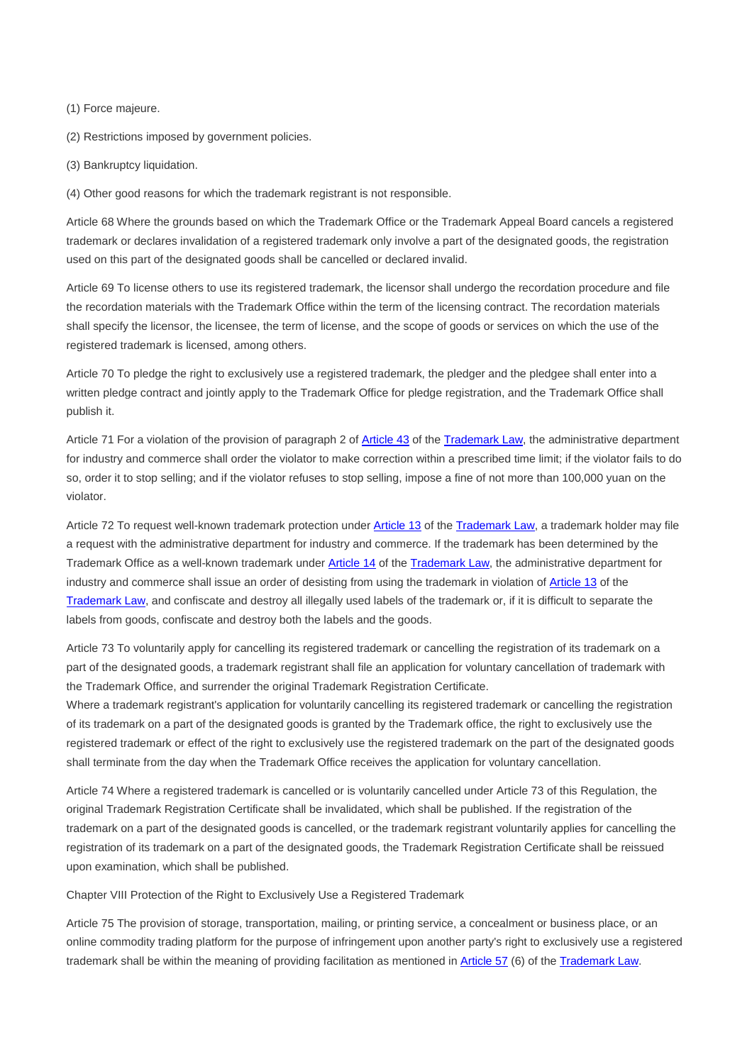(1) Force majeure.

(2) Restrictions imposed by government policies.

(3) Bankruptcy liquidation.

(4) Other good reasons for which the trademark registrant is not responsible.

Article 68 Where the grounds based on which the Trademark Office or the Trademark Appeal Board cancels a registered trademark or declares invalidation of a registered trademark only involve a part of the designated goods, the registration used on this part of the designated goods shall be cancelled or declared invalid.

Article 69 To license others to use its registered trademark, the licensor shall undergo the recordation procedure and file the recordation materials with the Trademark Office within the term of the licensing contract. The recordation materials shall specify the licensor, the licensee, the term of license, and the scope of goods or services on which the use of the registered trademark is licensed, among others.

Article 70 To pledge the right to exclusively use a registered trademark, the pledger and the pledgee shall enter into a written pledge contract and jointly apply to the Trademark Office for pledge registration, and the Trademark Office shall publish it.

Article 71 For a violation of the provision of paragraph 2 of Article 43 of the Trademark Law, the administrative department for industry and commerce shall order the violator to make correction within a prescribed time limit; if the violator fails to do so, order it to stop selling; and if the violator refuses to stop selling, impose a fine of not more than 100,000 yuan on the violator.

Article 72 To request well-known trademark protection under **Article 13 of the Trademark Law**, a trademark holder may file a request with the administrative department for industry and commerce. If the trademark has been determined by the Trademark Office as a well-known trademark under Article 14 of the Trademark Law, the administrative department for industry and commerce shall issue an order of desisting from using the trademark in violation of Article 13 of the Trademark Law, and confiscate and destroy all illegally used labels of the trademark or, if it is difficult to separate the labels from goods, confiscate and destroy both the labels and the goods.

Article 73 To voluntarily apply for cancelling its registered trademark or cancelling the registration of its trademark on a part of the designated goods, a trademark registrant shall file an application for voluntary cancellation of trademark with the Trademark Office, and surrender the original Trademark Registration Certificate.

Where a trademark registrant's application for voluntarily cancelling its registered trademark or cancelling the registration of its trademark on a part of the designated goods is granted by the Trademark office, the right to exclusively use the registered trademark or effect of the right to exclusively use the registered trademark on the part of the designated goods shall terminate from the day when the Trademark Office receives the application for voluntary cancellation.

Article 74 Where a registered trademark is cancelled or is voluntarily cancelled under Article 73 of this Regulation, the original Trademark Registration Certificate shall be invalidated, which shall be published. If the registration of the trademark on a part of the designated goods is cancelled, or the trademark registrant voluntarily applies for cancelling the registration of its trademark on a part of the designated goods, the Trademark Registration Certificate shall be reissued upon examination, which shall be published.

Chapter VIII Protection of the Right to Exclusively Use a Registered Trademark

Article 75 The provision of storage, transportation, mailing, or printing service, a concealment or business place, or an online commodity trading platform for the purpose of infringement upon another party's right to exclusively use a registered trademark shall be within the meaning of providing facilitation as mentioned in Article 57 (6) of the Trademark Law.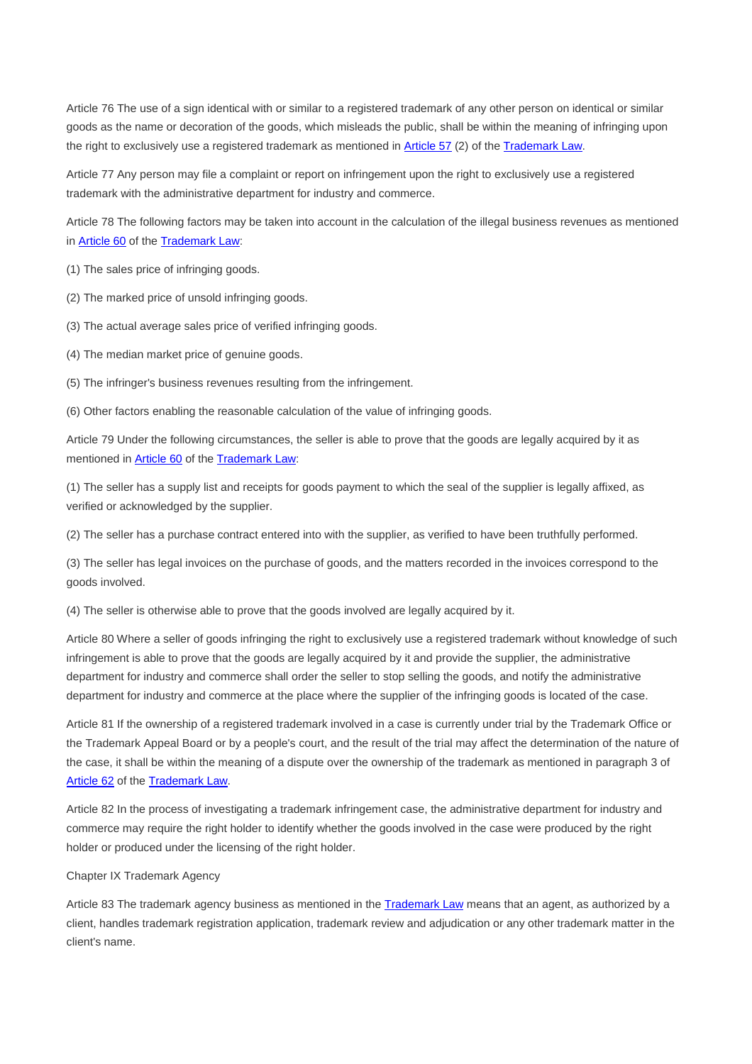Article 76 The use of a sign identical with or similar to a registered trademark of any other person on identical or similar goods as the name or decoration of the goods, which misleads the public, shall be within the meaning of infringing upon the right to exclusively use a registered trademark as mentioned in Article 57 (2) of the Trademark Law.

Article 77 Any person may file a complaint or report on infringement upon the right to exclusively use a registered trademark with the administrative department for industry and commerce.

Article 78 The following factors may be taken into account in the calculation of the illegal business revenues as mentioned in **Article 60** of the **Trademark Law:** 

(1) The sales price of infringing goods.

(2) The marked price of unsold infringing goods.

(3) The actual average sales price of verified infringing goods.

(4) The median market price of genuine goods.

(5) The infringer's business revenues resulting from the infringement.

(6) Other factors enabling the reasonable calculation of the value of infringing goods.

Article 79 Under the following circumstances, the seller is able to prove that the goods are legally acquired by it as mentioned in Article 60 of the Trademark Law:

(1) The seller has a supply list and receipts for goods payment to which the seal of the supplier is legally affixed, as verified or acknowledged by the supplier.

(2) The seller has a purchase contract entered into with the supplier, as verified to have been truthfully performed.

(3) The seller has legal invoices on the purchase of goods, and the matters recorded in the invoices correspond to the goods involved.

(4) The seller is otherwise able to prove that the goods involved are legally acquired by it.

Article 80 Where a seller of goods infringing the right to exclusively use a registered trademark without knowledge of such infringement is able to prove that the goods are legally acquired by it and provide the supplier, the administrative department for industry and commerce shall order the seller to stop selling the goods, and notify the administrative department for industry and commerce at the place where the supplier of the infringing goods is located of the case.

Article 81 If the ownership of a registered trademark involved in a case is currently under trial by the Trademark Office or the Trademark Appeal Board or by a people's court, and the result of the trial may affect the determination of the nature of the case, it shall be within the meaning of a dispute over the ownership of the trademark as mentioned in paragraph 3 of Article 62 of the Trademark Law.

Article 82 In the process of investigating a trademark infringement case, the administrative department for industry and commerce may require the right holder to identify whether the goods involved in the case were produced by the right holder or produced under the licensing of the right holder.

Chapter IX Trademark Agency

Article 83 The trademark agency business as mentioned in the Trademark Law means that an agent, as authorized by a client, handles trademark registration application, trademark review and adjudication or any other trademark matter in the client's name.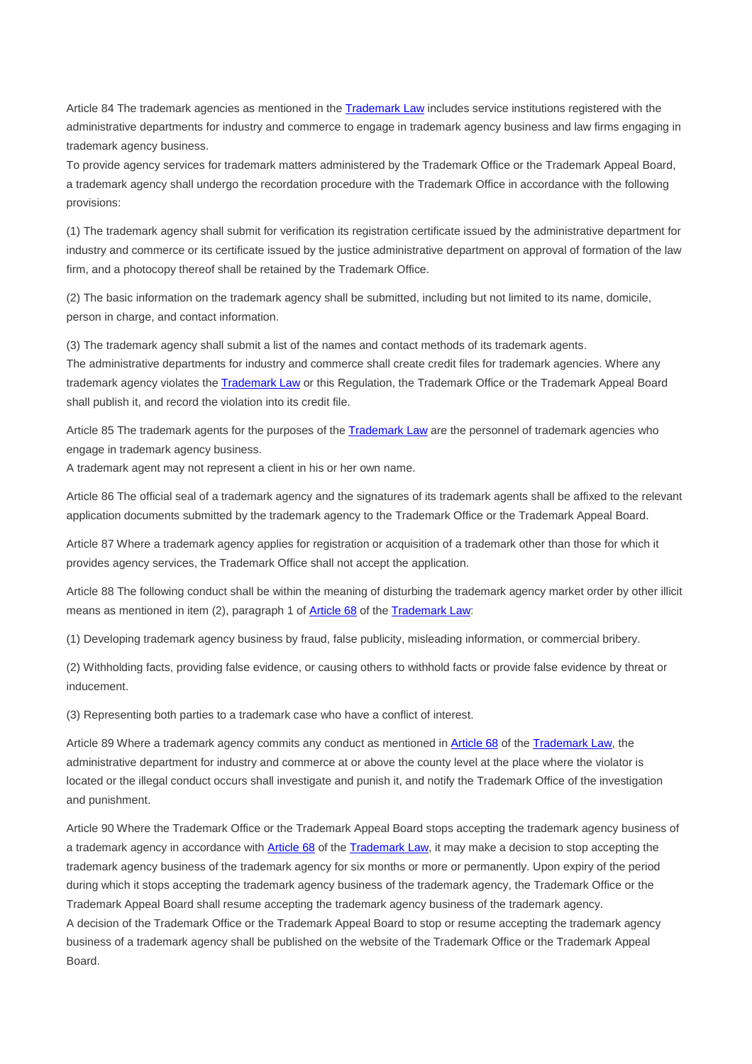Article 84 The trademark agencies as mentioned in the Trademark Law includes service institutions registered with the administrative departments for industry and commerce to engage in trademark agency business and law firms engaging in trademark agency business.

To provide agency services for trademark matters administered by the Trademark Office or the Trademark Appeal Board, a trademark agency shall undergo the recordation procedure with the Trademark Office in accordance with the following provisions:

(1) The trademark agency shall submit for verification its registration certificate issued by the administrative department for industry and commerce or its certificate issued by the justice administrative department on approval of formation of the law firm, and a photocopy thereof shall be retained by the Trademark Office.

(2) The basic information on the trademark agency shall be submitted, including but not limited to its name, domicile, person in charge, and contact information.

(3) The trademark agency shall submit a list of the names and contact methods of its trademark agents.

The administrative departments for industry and commerce shall create credit files for trademark agencies. Where any trademark agency violates the Trademark Law or this Regulation, the Trademark Office or the Trademark Appeal Board shall publish it, and record the violation into its credit file.

Article 85 The trademark agents for the purposes of the Trademark Law are the personnel of trademark agencies who engage in trademark agency business.

A trademark agent may not represent a client in his or her own name.

Article 86 The official seal of a trademark agency and the signatures of its trademark agents shall be affixed to the relevant application documents submitted by the trademark agency to the Trademark Office or the Trademark Appeal Board.

Article 87 Where a trademark agency applies for registration or acquisition of a trademark other than those for which it provides agency services, the Trademark Office shall not accept the application.

Article 88 The following conduct shall be within the meaning of disturbing the trademark agency market order by other illicit means as mentioned in item (2), paragraph 1 of **Article 68** of the **Trademark Law**:

(1) Developing trademark agency business by fraud, false publicity, misleading information, or commercial bribery.

(2) Withholding facts, providing false evidence, or causing others to withhold facts or provide false evidence by threat or inducement.

(3) Representing both parties to a trademark case who have a conflict of interest.

Article 89 Where a trademark agency commits any conduct as mentioned in Article 68 of the Trademark Law, the administrative department for industry and commerce at or above the county level at the place where the violator is located or the illegal conduct occurs shall investigate and punish it, and notify the Trademark Office of the investigation and punishment.

Article 90 Where the Trademark Office or the Trademark Appeal Board stops accepting the trademark agency business of a trademark agency in accordance with Article 68 of the Trademark Law, it may make a decision to stop accepting the trademark agency business of the trademark agency for six months or more or permanently. Upon expiry of the period during which it stops accepting the trademark agency business of the trademark agency, the Trademark Office or the Trademark Appeal Board shall resume accepting the trademark agency business of the trademark agency. A decision of the Trademark Office or the Trademark Appeal Board to stop or resume accepting the trademark agency business of a trademark agency shall be published on the website of the Trademark Office or the Trademark Appeal Board.